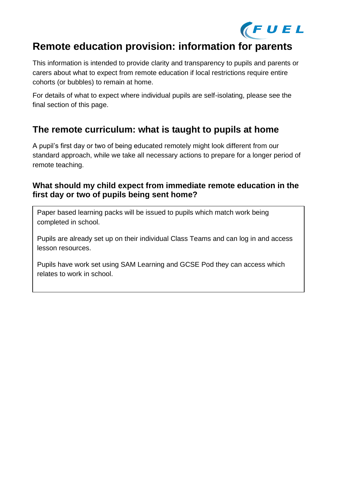

# **Remote education provision: information for parents**

This information is intended to provide clarity and transparency to pupils and parents or carers about what to expect from remote education if local restrictions require entire cohorts (or bubbles) to remain at home.

For details of what to expect where individual pupils are self-isolating, please see the final section of this page.

## **The remote curriculum: what is taught to pupils at home**

A pupil's first day or two of being educated remotely might look different from our standard approach, while we take all necessary actions to prepare for a longer period of remote teaching.

### **What should my child expect from immediate remote education in the first day or two of pupils being sent home?**

Paper based learning packs will be issued to pupils which match work being completed in school.

Pupils are already set up on their individual Class Teams and can log in and access lesson resources.

Pupils have work set using SAM Learning and GCSE Pod they can access which relates to work in school.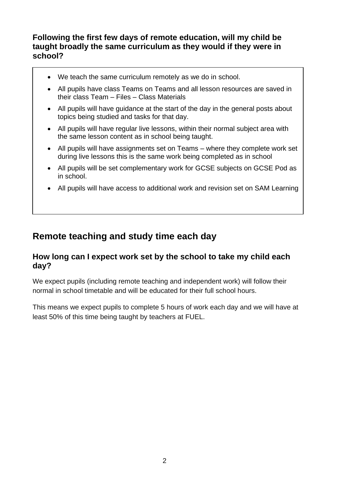### **Following the first few days of remote education, will my child be taught broadly the same curriculum as they would if they were in school?**

- We teach the same curriculum remotely as we do in school.
- All pupils have class Teams on Teams and all lesson resources are saved in their class Team – Files – Class Materials
- All pupils will have guidance at the start of the day in the general posts about topics being studied and tasks for that day.
- All pupils will have regular live lessons, within their normal subject area with the same lesson content as in school being taught.
- All pupils will have assignments set on Teams where they complete work set during live lessons this is the same work being completed as in school
- All pupils will be set complementary work for GCSE subjects on GCSE Pod as in school.
- All pupils will have access to additional work and revision set on SAM Learning

## **Remote teaching and study time each day**

### **How long can I expect work set by the school to take my child each day?**

We expect pupils (including remote teaching and independent work) will follow their normal in school timetable and will be educated for their full school hours.

This means we expect pupils to complete 5 hours of work each day and we will have at least 50% of this time being taught by teachers at FUEL.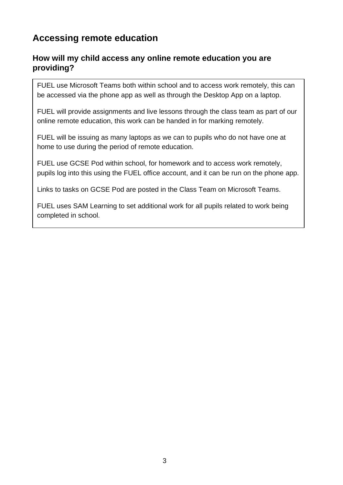## **Accessing remote education**

## **How will my child access any online remote education you are providing?**

FUEL use Microsoft Teams both within school and to access work remotely, this can be accessed via the phone app as well as through the Desktop App on a laptop.

FUEL will provide assignments and live lessons through the class team as part of our online remote education, this work can be handed in for marking remotely.

FUEL will be issuing as many laptops as we can to pupils who do not have one at home to use during the period of remote education.

FUEL use GCSE Pod within school, for homework and to access work remotely, pupils log into this using the FUEL office account, and it can be run on the phone app.

Links to tasks on GCSE Pod are posted in the Class Team on Microsoft Teams.

FUEL uses SAM Learning to set additional work for all pupils related to work being completed in school.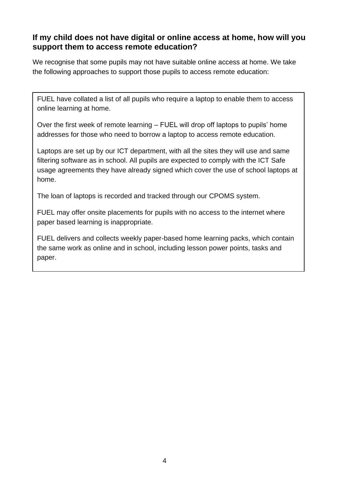### **If my child does not have digital or online access at home, how will you support them to access remote education?**

We recognise that some pupils may not have suitable online access at home. We take the following approaches to support those pupils to access remote education:

FUEL have collated a list of all pupils who require a laptop to enable them to access online learning at home.

Over the first week of remote learning – FUEL will drop off laptops to pupils' home addresses for those who need to borrow a laptop to access remote education.

Laptops are set up by our ICT department, with all the sites they will use and same filtering software as in school. All pupils are expected to comply with the ICT Safe usage agreements they have already signed which cover the use of school laptops at home.

The loan of laptops is recorded and tracked through our CPOMS system.

FUEL may offer onsite placements for pupils with no access to the internet where paper based learning is inappropriate.

FUEL delivers and collects weekly paper-based home learning packs, which contain the same work as online and in school, including lesson power points, tasks and paper.

After each weekly collection, teachers will mark will mark will mark will mark will be sent out out out out out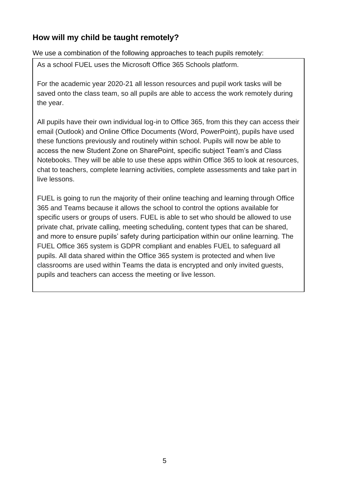## **How will my child be taught remotely?**

We use a combination of the following approaches to teach pupils remotely:

As a school FUEL uses the Microsoft Office 365 Schools platform.

For the academic year 2020-21 all lesson resources and pupil work tasks will be saved onto the class team, so all pupils are able to access the work remotely during the year.

All pupils have their own individual log-in to Office 365, from this they can access their email (Outlook) and Online Office Documents (Word, PowerPoint), pupils have used these functions previously and routinely within school. Pupils will now be able to access the new Student Zone on SharePoint, specific subject Team's and Class Notebooks. They will be able to use these apps within Office 365 to look at resources, chat to teachers, complete learning activities, complete assessments and take part in live lessons.

FUEL is going to run the majority of their online teaching and learning through Office 365 and Teams because it allows the school to control the options available for specific users or groups of users. FUEL is able to set who should be allowed to use private chat, private calling, meeting scheduling, content types that can be shared, and more to ensure pupils' safety during participation within our online learning. The FUEL Office 365 system is GDPR compliant and enables FUEL to safeguard all pupils. All data shared within the Office 365 system is protected and when live classrooms are used within Teams the data is encrypted and only invited guests, pupils and teachers can access the meeting or live lesson.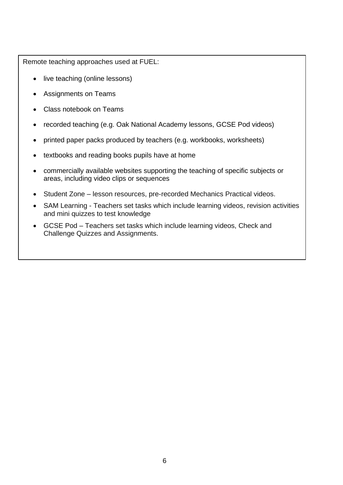Remote teaching approaches used at FUEL:

- live teaching (online lessons)
- Assignments on Teams
- Class notebook on Teams
- recorded teaching (e.g. Oak National Academy lessons, GCSE Pod videos)
- printed paper packs produced by teachers (e.g. workbooks, worksheets)
- textbooks and reading books pupils have at home
- commercially available websites supporting the teaching of specific subjects or areas, including video clips or sequences
- Student Zone lesson resources, pre-recorded Mechanics Practical videos.
- SAM Learning Teachers set tasks which include learning videos, revision activities and mini quizzes to test knowledge
- GCSE Pod Teachers set tasks which include learning videos, Check and Challenge Quizzes and Assignments.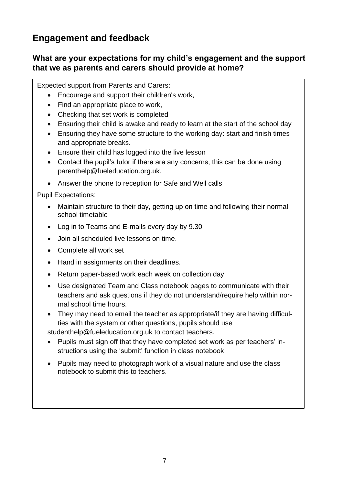## **Engagement and feedback**

## **What are your expectations for my child's engagement and the support that we as parents and carers should provide at home?**

Expected support from Parents and Carers:

- Encourage and support their children's work,
- Find an appropriate place to work,
- Checking that set work is completed
- Ensuring their child is awake and ready to learn at the start of the school day
- Ensuring they have some structure to the working day: start and finish times and appropriate breaks.
- Ensure their child has logged into the live lesson
- Contact the pupil's tutor if there are any concerns, this can be done using [parenthelp@fueleducation.org.uk.](mailto:parenthelp@fueleducation.org.uk)
- Answer the phone to reception for Safe and Well calls

Pupil Expectations:

- Maintain structure to their day, getting up on time and following their normal school timetable
- Log in to Teams and E-mails every day by 9.30
- Join all scheduled live lessons on time.
- Complete all work set
- Hand in assignments on their deadlines.
- Return paper-based work each week on collection day
- Use designated Team and Class notebook pages to communicate with their teachers and ask questions if they do not understand/require help within normal school time hours.
- They may need to email the teacher as appropriate/if they are having difficulties with the system or other questions, pupils should use

[studenthelp@fueleducation.org.uk](mailto:studenthelp@fueleducation.org.uk) to contact teachers.

- Pupils must sign off that they have completed set work as per teachers' instructions using the 'submit' function in class notebook
- Pupils may need to photograph work of a visual nature and use the class notebook to submit this to teachers.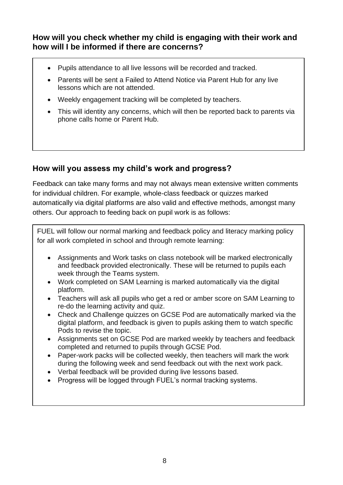**How will you check whether my child is engaging with their work and how will I be informed if there are concerns?**

- Pupils attendance to all live lessons will be recorded and tracked.
- Parents will be sent a Failed to Attend Notice via Parent Hub for any live lessons which are not attended.
- Weekly engagement tracking will be completed by teachers.
- This will identity any concerns, which will then be reported back to parents via phone calls home or Parent Hub.

## **How will you assess my child's work and progress?**

Feedback can take many forms and may not always mean extensive written comments for individual children. For example, whole-class feedback or quizzes marked automatically via digital platforms are also valid and effective methods, amongst many others. Our approach to feeding back on pupil work is as follows:

FUEL will follow our normal marking and feedback policy and literacy marking policy for all work completed in school and through remote learning:

- Assignments and Work tasks on class notebook will be marked electronically and feedback provided electronically. These will be returned to pupils each week through the Teams system.
- Work completed on SAM Learning is marked automatically via the digital platform.
- Teachers will ask all pupils who get a red or amber score on SAM Learning to re-do the learning activity and quiz.
- Check and Challenge quizzes on GCSE Pod are automatically marked via the digital platform, and feedback is given to pupils asking them to watch specific Pods to revise the topic.
- Assignments set on GCSE Pod are marked weekly by teachers and feedback completed and returned to pupils through GCSE Pod.
- Paper-work packs will be collected weekly, then teachers will mark the work during the following week and send feedback out with the next work pack.
- Verbal feedback will be provided during live lessons based.
- Progress will be logged through FUEL's normal tracking systems.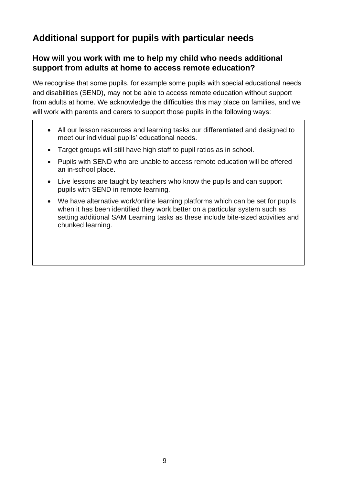# **Additional support for pupils with particular needs**

## **How will you work with me to help my child who needs additional support from adults at home to access remote education?**

We recognise that some pupils, for example some pupils with special educational needs and disabilities (SEND), may not be able to access remote education without support from adults at home. We acknowledge the difficulties this may place on families, and we will work with parents and carers to support those pupils in the following ways:

- All our lesson resources and learning tasks our differentiated and designed to meet our individual pupils' educational needs.
- Target groups will still have high staff to pupil ratios as in school.
- Pupils with SEND who are unable to access remote education will be offered an in-school place.
- Live lessons are taught by teachers who know the pupils and can support pupils with SEND in remote learning.
- We have alternative work/online learning platforms which can be set for pupils when it has been identified they work better on a particular system such as setting additional SAM Learning tasks as these include bite-sized activities and chunked learning.